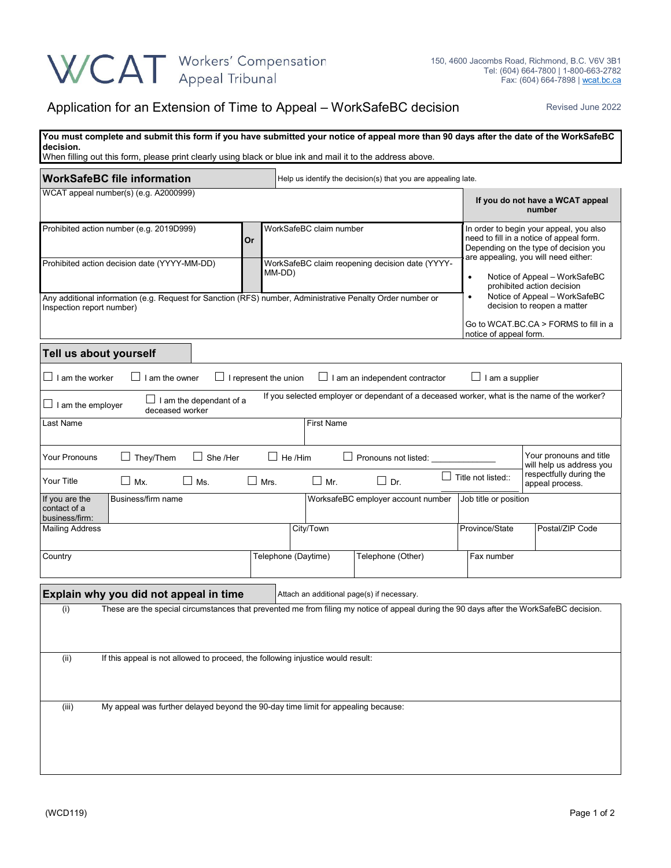## WCAT Workers' Compensation

## Application for an Extension of Time to Appeal – WorkSafeBC decision Revised June 2022

| You must complete and submit this form if you have submitted your notice of appeal more than 90 days after the date of the WorkSafeBC<br>decision.<br>When filling out this form, please print clearly using black or blue ink and mail it to the address above. |      |                                                                                                                                                                                                                                                                                                         |                                                  |                                            |                                          |                                                                                                                                              |  |  |
|------------------------------------------------------------------------------------------------------------------------------------------------------------------------------------------------------------------------------------------------------------------|------|---------------------------------------------------------------------------------------------------------------------------------------------------------------------------------------------------------------------------------------------------------------------------------------------------------|--------------------------------------------------|--------------------------------------------|------------------------------------------|----------------------------------------------------------------------------------------------------------------------------------------------|--|--|
| <b>WorkSafeBC file information</b>                                                                                                                                                                                                                               |      | Help us identify the decision(s) that you are appealing late.                                                                                                                                                                                                                                           |                                                  |                                            |                                          |                                                                                                                                              |  |  |
| WCAT appeal number(s) (e.g. A2000999)                                                                                                                                                                                                                            |      |                                                                                                                                                                                                                                                                                                         |                                                  |                                            |                                          | If you do not have a WCAT appeal<br>number                                                                                                   |  |  |
| Prohibited action number (e.g. 2019D999)<br>Prohibited action decision date (YYYY-MM-DD)                                                                                                                                                                         | Or   | WorkSafeBC claim number<br>In order to begin your appeal, you also<br>need to fill in a notice of appeal form.<br>Depending on the type of decision you<br>are appealing, you will need either:<br>WorkSafeBC claim reopening decision date (YYYY-<br>MM-DD)<br>$\bullet$<br>prohibited action decision |                                                  | Notice of Appeal - WorkSafeBC              |                                          |                                                                                                                                              |  |  |
| Any additional information (e.g. Request for Sanction (RFS) number, Administrative Penalty Order number or<br>Inspection report number)                                                                                                                          |      |                                                                                                                                                                                                                                                                                                         |                                                  |                                            |                                          | Notice of Appeal - WorkSafeBC<br>$\bullet$<br>decision to reopen a matter<br>Go to WCAT.BC.CA > FORMS to fill in a<br>notice of appeal form. |  |  |
| Tell us about yourself                                                                                                                                                                                                                                           |      |                                                                                                                                                                                                                                                                                                         |                                                  |                                            |                                          |                                                                                                                                              |  |  |
| $\Box$ I am the worker<br>I am the owner<br>$\Box$ I am a supplier<br>$\Box$ I represent the union<br>$\Box$ I am an independent contractor                                                                                                                      |      |                                                                                                                                                                                                                                                                                                         |                                                  |                                            |                                          |                                                                                                                                              |  |  |
| If you selected employer or dependant of a deceased worker, what is the name of the worker?<br>$\Box$ I am the dependant of a<br>$\Box$ I am the employer<br>deceased worker                                                                                     |      |                                                                                                                                                                                                                                                                                                         |                                                  |                                            |                                          |                                                                                                                                              |  |  |
| Last Name                                                                                                                                                                                                                                                        |      |                                                                                                                                                                                                                                                                                                         | <b>First Name</b>                                |                                            |                                          |                                                                                                                                              |  |  |
| Your pronouns and title<br><b>Your Pronouns</b><br>$\Box$ They/Them<br>She /Her<br>$\Box$ He /Him<br>Pronouns not listed:<br>will help us address you<br>respectfully during the<br>Title not listed::<br>$\Box$                                                 |      |                                                                                                                                                                                                                                                                                                         |                                                  |                                            |                                          |                                                                                                                                              |  |  |
| Your Title<br>$\Box$ Mx.<br>$\Box$ Ms.<br>Business/firm name<br>If you are the<br>contact of a<br>business/firm:                                                                                                                                                 | Mrs. | $\Box$ Mr.                                                                                                                                                                                                                                                                                              | $\Box$ Dr.<br>WorksafeBC employer account number |                                            | appeal process.<br>Job title or position |                                                                                                                                              |  |  |
| <b>Mailing Address</b>                                                                                                                                                                                                                                           |      |                                                                                                                                                                                                                                                                                                         | City/Town                                        |                                            | Province/State                           | Postal/ZIP Code                                                                                                                              |  |  |
| Country                                                                                                                                                                                                                                                          |      |                                                                                                                                                                                                                                                                                                         | Telephone (Daytime)<br>Telephone (Other)         |                                            | Fax number                               |                                                                                                                                              |  |  |
| Explain why you did not appeal in time                                                                                                                                                                                                                           |      |                                                                                                                                                                                                                                                                                                         |                                                  | Attach an additional page(s) if necessary. |                                          |                                                                                                                                              |  |  |
| (i)<br>These are the special circumstances that prevented me from filing my notice of appeal during the 90 days after the WorkSafeBC decision.                                                                                                                   |      |                                                                                                                                                                                                                                                                                                         |                                                  |                                            |                                          |                                                                                                                                              |  |  |
| If this appeal is not allowed to proceed, the following injustice would result:<br>(ii)                                                                                                                                                                          |      |                                                                                                                                                                                                                                                                                                         |                                                  |                                            |                                          |                                                                                                                                              |  |  |
| My appeal was further delayed beyond the 90-day time limit for appealing because:<br>(iii)                                                                                                                                                                       |      |                                                                                                                                                                                                                                                                                                         |                                                  |                                            |                                          |                                                                                                                                              |  |  |